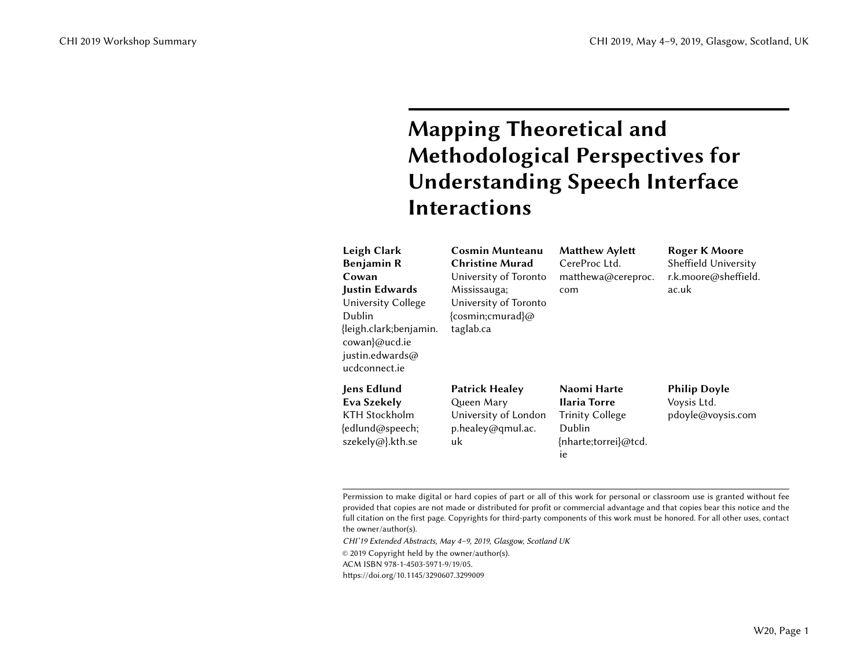# Mapping Theoretical and Methodological Perspectives for Understanding Speech Interface Interactions

| Leigh Clark<br><b>Benjamin R</b><br>Cowan<br><b>Justin Edwards</b><br>University College<br>Dublin<br>{leigh.clark;benjamin.<br>cowan}@ucd.ie<br>justin.edwards@<br>ucdconnect.ie | <b>Cosmin Munteanu</b><br><b>Christine Murad</b><br>University of Toronto<br>Mississauga;<br>University of Toronto<br>{cosmin;cmurad}@<br>taglab.ca | <b>Matthew Aylett</b><br>CereProc Ltd.<br>matthewa@cereproc.<br>com                                  | <b>Roger K Moore</b><br>Sheffield University<br>r.k.moore@sheffield.<br>ac.uk |
|-----------------------------------------------------------------------------------------------------------------------------------------------------------------------------------|-----------------------------------------------------------------------------------------------------------------------------------------------------|------------------------------------------------------------------------------------------------------|-------------------------------------------------------------------------------|
| <b>Jens Edlund</b><br>Eva Szekely<br><b>KTH Stockholm</b><br>{edlund@speech;<br>szekely@}.kth.se                                                                                  | <b>Patrick Healey</b><br>Queen Mary<br>University of London<br>p.healey@qmul.ac.<br>uk                                                              | Naomi Harte<br><b>Ilaria Torre</b><br><b>Trinity College</b><br>Dublin<br>{nharte;torrei}@tcd.<br>ie | <b>Philip Doyle</b><br>Voysis Ltd.<br>pdoyle@voysis.com                       |

Permission to make digital or hard copies of part or all of this work for personal or classroom use is granted without fee provided that copies are not made or distributed for profit or commercial advantage and that copies bear this notice and the full citation on the first page. Copyrights for third-party components of this work must be honored. For all other uses, contact the owner/author(s).

CHI'19 Extended Abstracts, May 4–9, 2019, Glasgow, Scotland UK

© 2019 Copyright held by the owner/author(s).

ACM ISBN 978-1-4503-5971-9/19/05.

<https://doi.org/10.1145/3290607.3299009>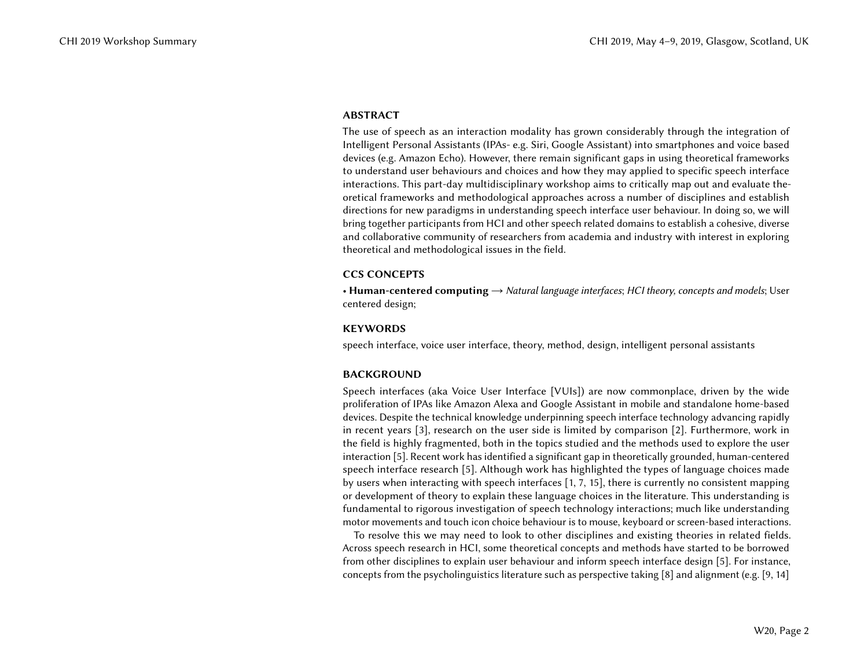#### ABSTRACT

The use of speech as an interaction modality has grown considerably through the integration of Intelligent Personal Assistants (IPAs- e.g. Siri, Google Assistant) into smartphones and voice based devices (e.g. Amazon Echo). However, there remain significant gaps in using theoretical frameworks to understand user behaviours and choices and how they may applied to specific speech interface interactions. This part-day multidisciplinary workshop aims to critically map out and evaluate theoretical frameworks and methodological approaches across a number of disciplines and establish directions for new paradigms in understanding speech interface user behaviour. In doing so, we will bring together participants from HCI and other speech related domains to establish a cohesive, diverse and collaborative community of researchers from academia and industry with interest in exploring theoretical and methodological issues in the field.

#### CCS CONCEPTS

• Human-centered computing  $\rightarrow$  Natural language interfaces; HCI theory, concepts and models; User centered design;

#### **KEYWORDS**

speech interface, voice user interface, theory, method, design, intelligent personal assistants

## BACKGROUND

Speech interfaces (aka Voice User Interface [VUIs]) are now commonplace, driven by the wide proliferation of IPAs like Amazon Alexa and Google Assistant in mobile and standalone home-based devices. Despite the technical knowledge underpinning speech interface technology advancing rapidly in recent years [\[3\]](#page-6-0), research on the user side is limited by comparison [\[2\]](#page-6-1). Furthermore, work in the field is highly fragmented, both in the topics studied and the methods used to explore the user interaction [\[5\]](#page-7-0). Recent work has identified a significant gap in theoretically grounded, human-centered speech interface research [\[5\]](#page-7-0). Although work has highlighted the types of language choices made by users when interacting with speech interfaces [\[1,](#page-6-2) [7,](#page-7-1) [15\]](#page-7-2), there is currently no consistent mapping or development of theory to explain these language choices in the literature. This understanding is fundamental to rigorous investigation of speech technology interactions; much like understanding motor movements and touch icon choice behaviour is to mouse, keyboard or screen-based interactions.

To resolve this we may need to look to other disciplines and existing theories in related fields. Across speech research in HCI, some theoretical concepts and methods have started to be borrowed from other disciplines to explain user behaviour and inform speech interface design [\[5\]](#page-7-0). For instance, concepts from the psycholinguistics literature such as perspective taking [\[8\]](#page-7-3) and alignment (e.g. [\[9,](#page-7-4) [14\]](#page-7-5)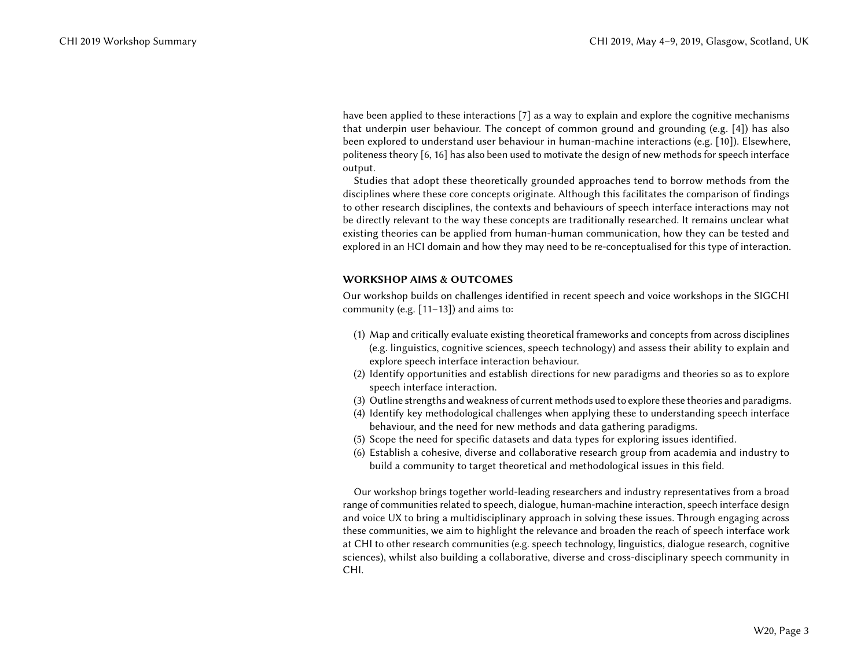have been applied to these interactions [\[7\]](#page-7-1) as a way to explain and explore the cognitive mechanisms that underpin user behaviour. The concept of common ground and grounding (e.g. [\[4\]](#page-6-3)) has also been explored to understand user behaviour in human-machine interactions (e.g. [\[10\]](#page-7-6)). Elsewhere, politeness theory [\[6,](#page-7-7) [16\]](#page-7-8) has also been used to motivate the design of new methods for speech interface output.

Studies that adopt these theoretically grounded approaches tend to borrow methods from the disciplines where these core concepts originate. Although this facilitates the comparison of findings to other research disciplines, the contexts and behaviours of speech interface interactions may not be directly relevant to the way these concepts are traditionally researched. It remains unclear what existing theories can be applied from human-human communication, how they can be tested and explored in an HCI domain and how they may need to be re-conceptualised for this type of interaction.

## WORKSHOP AIMS & OUTCOMES

Our workshop builds on challenges identified in recent speech and voice workshops in the SIGCHI community (e.g. [\[11–](#page-7-9)[13\]](#page-7-10)) and aims to:

- (1) Map and critically evaluate existing theoretical frameworks and concepts from across disciplines (e.g. linguistics, cognitive sciences, speech technology) and assess their ability to explain and explore speech interface interaction behaviour.
- (2) Identify opportunities and establish directions for new paradigms and theories so as to explore speech interface interaction.
- (3) Outline strengths and weakness of current methods used to explore these theories and paradigms.
- (4) Identify key methodological challenges when applying these to understanding speech interface behaviour, and the need for new methods and data gathering paradigms.
- (5) Scope the need for specific datasets and data types for exploring issues identified.
- (6) Establish a cohesive, diverse and collaborative research group from academia and industry to build a community to target theoretical and methodological issues in this field.

Our workshop brings together world-leading researchers and industry representatives from a broad range of communities related to speech, dialogue, human-machine interaction, speech interface design and voice UX to bring a multidisciplinary approach in solving these issues. Through engaging across these communities, we aim to highlight the relevance and broaden the reach of speech interface work at CHI to other research communities (e.g. speech technology, linguistics, dialogue research, cognitive sciences), whilst also building a collaborative, diverse and cross-disciplinary speech community in CHI.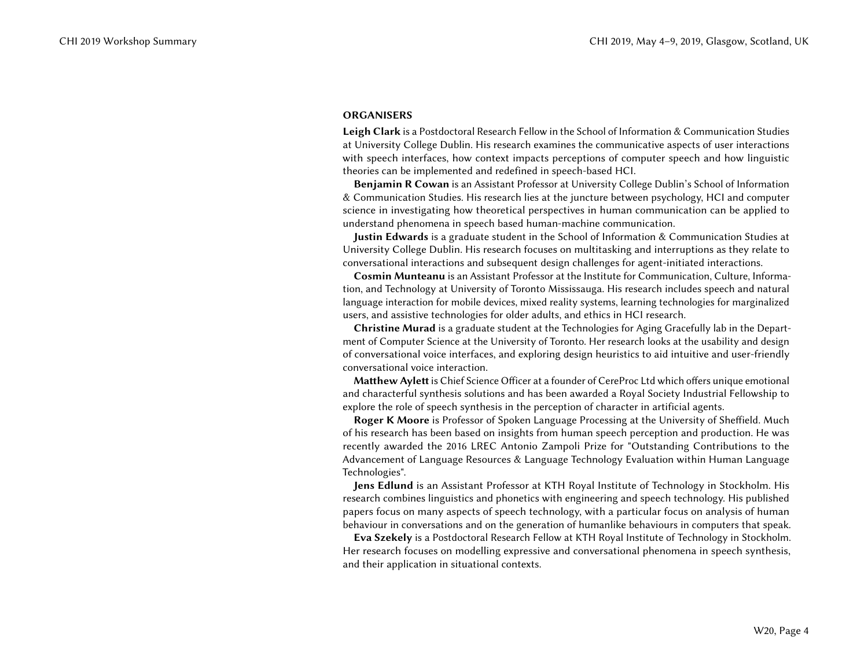#### **ORGANISERS**

Leigh Clark is a Postdoctoral Research Fellow in the School of Information & Communication Studies at University College Dublin. His research examines the communicative aspects of user interactions with speech interfaces, how context impacts perceptions of computer speech and how linguistic theories can be implemented and redefined in speech-based HCI.

Benjamin R Cowan is an Assistant Professor at University College Dublin's School of Information & Communication Studies. His research lies at the juncture between psychology, HCI and computer science in investigating how theoretical perspectives in human communication can be applied to understand phenomena in speech based human-machine communication.

Justin Edwards is a graduate student in the School of Information & Communication Studies at University College Dublin. His research focuses on multitasking and interruptions as they relate to conversational interactions and subsequent design challenges for agent-initiated interactions.

Cosmin Munteanu is an Assistant Professor at the Institute for Communication, Culture, Information, and Technology at University of Toronto Mississauga. His research includes speech and natural language interaction for mobile devices, mixed reality systems, learning technologies for marginalized users, and assistive technologies for older adults, and ethics in HCI research.

Christine Murad is a graduate student at the Technologies for Aging Gracefully lab in the Department of Computer Science at the University of Toronto. Her research looks at the usability and design of conversational voice interfaces, and exploring design heuristics to aid intuitive and user-friendly conversational voice interaction.

Matthew Aylett is Chief Science Officer at a founder of CereProc Ltd which offers unique emotional and characterful synthesis solutions and has been awarded a Royal Society Industrial Fellowship to explore the role of speech synthesis in the perception of character in artificial agents.

Roger K Moore is Professor of Spoken Language Processing at the University of Sheffield. Much of his research has been based on insights from human speech perception and production. He was recently awarded the 2016 LREC Antonio Zampoli Prize for "Outstanding Contributions to the Advancement of Language Resources & Language Technology Evaluation within Human Language Technologies".

Jens Edlund is an Assistant Professor at KTH Royal Institute of Technology in Stockholm. His research combines linguistics and phonetics with engineering and speech technology. His published papers focus on many aspects of speech technology, with a particular focus on analysis of human behaviour in conversations and on the generation of humanlike behaviours in computers that speak.

Eva Szekely is a Postdoctoral Research Fellow at KTH Royal Institute of Technology in Stockholm. Her research focuses on modelling expressive and conversational phenomena in speech synthesis, and their application in situational contexts.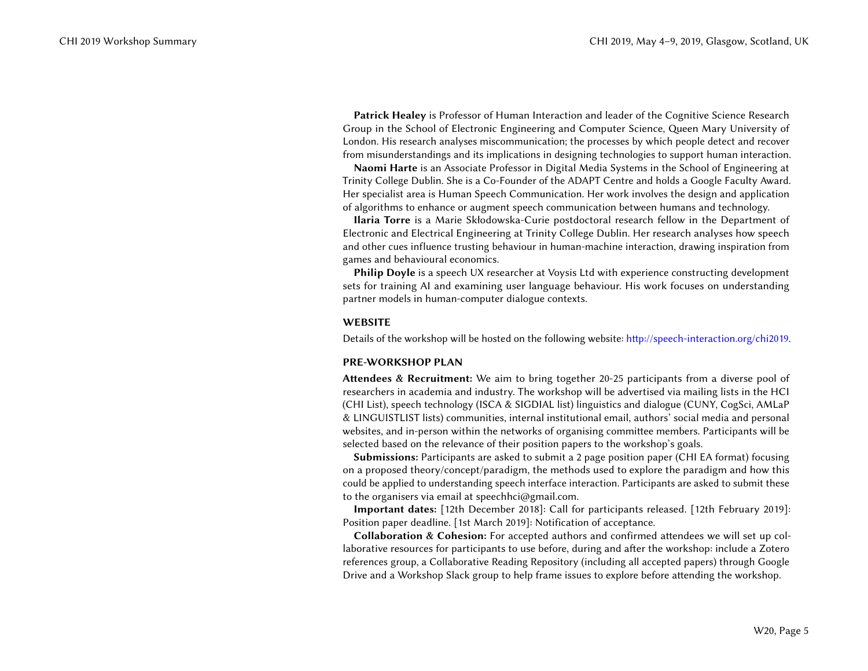Patrick Healey is Professor of Human Interaction and leader of the Cognitive Science Research Group in the School of Electronic Engineering and Computer Science, Queen Mary University of London. His research analyses miscommunication; the processes by which people detect and recover from misunderstandings and its implications in designing technologies to support human interaction.

Naomi Harte is an Associate Professor in Digital Media Systems in the School of Engineering at Trinity College Dublin. She is a Co-Founder of the ADAPT Centre and holds a Google Faculty Award. Her specialist area is Human Speech Communication. Her work involves the design and application of algorithms to enhance or augment speech communication between humans and technology.

Ilaria Torre is a Marie Skłodowska-Curie postdoctoral research fellow in the Department of Electronic and Electrical Engineering at Trinity College Dublin. Her research analyses how speech and other cues influence trusting behaviour in human-machine interaction, drawing inspiration from games and behavioural economics.

Philip Doyle is a speech UX researcher at Voysis Ltd with experience constructing development sets for training AI and examining user language behaviour. His work focuses on understanding partner models in human-computer dialogue contexts.

## WEBSITE

Details of the workshop will be hosted on the following website: [http://speech-interaction.org/chi2019.](http://speech-interaction.org/chi2019)

## PRE-WORKSHOP PLAN

Attendees & Recruitment: We aim to bring together 20-25 participants from a diverse pool of researchers in academia and industry. The workshop will be advertised via mailing lists in the HCI (CHI List), speech technology (ISCA & SIGDIAL list) linguistics and dialogue (CUNY, CogSci, AMLaP & LINGUISTLIST lists) communities, internal institutional email, authors' social media and personal websites, and in-person within the networks of organising committee members. Participants will be selected based on the relevance of their position papers to the workshop's goals.

Submissions: Participants are asked to submit a 2 page position paper (CHI EA format) focusing on a proposed theory/concept/paradigm, the methods used to explore the paradigm and how this could be applied to understanding speech interface interaction. Participants are asked to submit these to the organisers via email at [speechhci@gmail.com.](speechhci@gmail.com)

Important dates: [12th December 2018]: Call for participants released. [12th February 2019]: Position paper deadline. [1st March 2019]: Notification of acceptance.

Collaboration & Cohesion: For accepted authors and confirmed attendees we will set up collaborative resources for participants to use before, during and after the workshop: include a Zotero references group, a Collaborative Reading Repository (including all accepted papers) through Google Drive and a Workshop Slack group to help frame issues to explore before attending the workshop.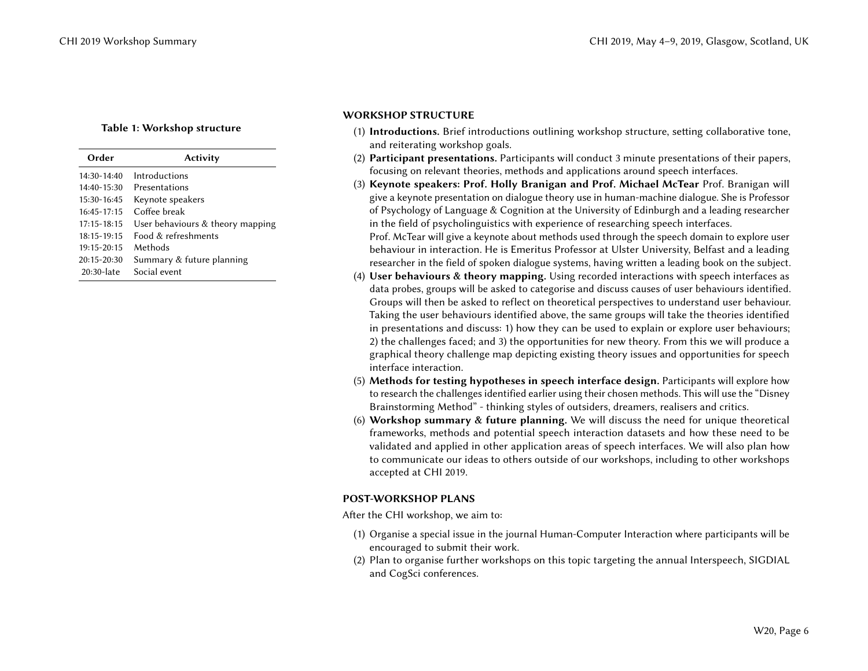## Table 1: Workshop structure

| Order           | Activity                         |  |  |
|-----------------|----------------------------------|--|--|
| $14:30 - 14:40$ | Introductions                    |  |  |
| $14:40 - 15:30$ | Presentations                    |  |  |
| 15:30-16:45     | Keynote speakers                 |  |  |
| $16:45 - 17:15$ | Coffee break                     |  |  |
| $17:15 - 18:15$ | User behaviours & theory mapping |  |  |
| $18:15 - 19:15$ | Food & refreshments              |  |  |
| $19:15 - 20:15$ | Methods                          |  |  |
| $20:15 - 20:30$ | Summary & future planning        |  |  |
| 20:30-late      | Social event                     |  |  |

# WORKSHOP STRUCTURE

- (1) Introductions. Brief introductions outlining workshop structure, setting collaborative tone, and reiterating workshop goals.
- (2) Participant presentations. Participants will conduct 3 minute presentations of their papers, focusing on relevant theories, methods and applications around speech interfaces.
- (3) Keynote speakers: Prof. Holly Branigan and Prof. Michael McTear Prof. Branigan will give a keynote presentation on dialogue theory use in human-machine dialogue. She is Professor of Psychology of Language & Cognition at the University of Edinburgh and a leading researcher in the field of psycholinguistics with experience of researching speech interfaces.

Prof. McTear will give a keynote about methods used through the speech domain to explore user behaviour in interaction. He is Emeritus Professor at Ulster University, Belfast and a leading researcher in the field of spoken dialogue systems, having written a leading book on the subject.

- (4) User behaviours & theory mapping. Using recorded interactions with speech interfaces as data probes, groups will be asked to categorise and discuss causes of user behaviours identified. Groups will then be asked to reflect on theoretical perspectives to understand user behaviour. Taking the user behaviours identified above, the same groups will take the theories identified in presentations and discuss: 1) how they can be used to explain or explore user behaviours; 2) the challenges faced; and 3) the opportunities for new theory. From this we will produce a graphical theory challenge map depicting existing theory issues and opportunities for speech interface interaction.
- (5) Methods for testing hypotheses in speech interface design. Participants will explore how to research the challenges identified earlier using their chosen methods. This will use the "Disney Brainstorming Method" - thinking styles of outsiders, dreamers, realisers and critics.
- (6) Workshop summary & future planning. We will discuss the need for unique theoretical frameworks, methods and potential speech interaction datasets and how these need to be validated and applied in other application areas of speech interfaces. We will also plan how to communicate our ideas to others outside of our workshops, including to other workshops accepted at CHI 2019.

## POST-WORKSHOP PLANS

After the CHI workshop, we aim to:

- (1) Organise a special issue in the journal Human-Computer Interaction where participants will be encouraged to submit their work.
- (2) Plan to organise further workshops on this topic targeting the annual Interspeech, SIGDIAL and CogSci conferences.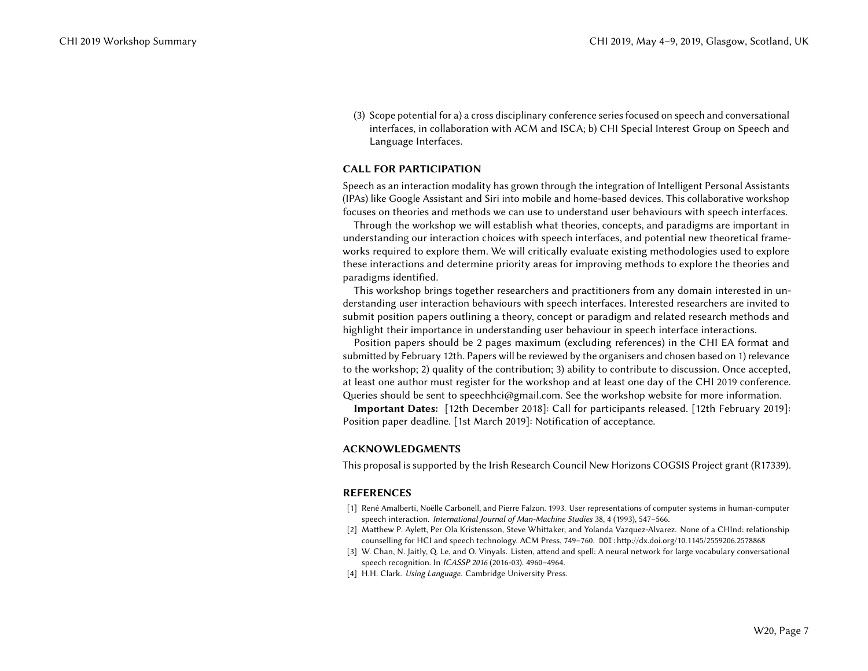(3) Scope potential for a) a cross disciplinary conference series focused on speech and conversational interfaces, in collaboration with ACM and ISCA; b) CHI Special Interest Group on Speech and Language Interfaces.

## CALL FOR PARTICIPATION

Speech as an interaction modality has grown through the integration of Intelligent Personal Assistants (IPAs) like Google Assistant and Siri into mobile and home-based devices. This collaborative workshop focuses on theories and methods we can use to understand user behaviours with speech interfaces.

Through the workshop we will establish what theories, concepts, and paradigms are important in understanding our interaction choices with speech interfaces, and potential new theoretical frameworks required to explore them. We will critically evaluate existing methodologies used to explore these interactions and determine priority areas for improving methods to explore the theories and paradigms identified.

This workshop brings together researchers and practitioners from any domain interested in understanding user interaction behaviours with speech interfaces. Interested researchers are invited to submit position papers outlining a theory, concept or paradigm and related research methods and highlight their importance in understanding user behaviour in speech interface interactions.

Position papers should be 2 pages maximum (excluding references) in the CHI EA format and submitted by February 12th. Papers will be reviewed by the organisers and chosen based on 1) relevance to the workshop; 2) quality of the contribution; 3) ability to contribute to discussion. Once accepted, at least one author must register for the workshop and at least one day of the CHI 2019 conference. Queries should be sent to speechhci@gmail.com. See the workshop website for more information.

Important Dates: [12th December 2018]: Call for participants released. [12th February 2019]: Position paper deadline. [1st March 2019]: Notification of acceptance.

## ACKNOWLEDGMENTS

This proposal is supported by the Irish Research Council New Horizons COGSIS Project grant (R17339).

## REFERENCES

- <span id="page-6-2"></span>[1] René Amalberti, Noëlle Carbonell, and Pierre Falzon. 1993. User representations of computer systems in human-computer speech interaction. International Journal of Man-Machine Studies 38, 4 (1993), 547–566.
- <span id="page-6-1"></span>[2] Matthew P. Aylett, Per Ola Kristensson, Steve Whittaker, and Yolanda Vazquez-Alvarez. None of a CHInd: relationship counselling for HCI and speech technology. ACM Press, 749–760. DOI:<http://dx.doi.org/10.1145/2559206.2578868>
- <span id="page-6-0"></span>[3] W. Chan, N. Jaitly, Q. Le, and O. Vinyals. Listen, attend and spell: A neural network for large vocabulary conversational speech recognition. In ICASSP 2016 (2016-03). 4960–4964.
- <span id="page-6-3"></span>[4] H.H. Clark. Using Language. Cambridge University Press.